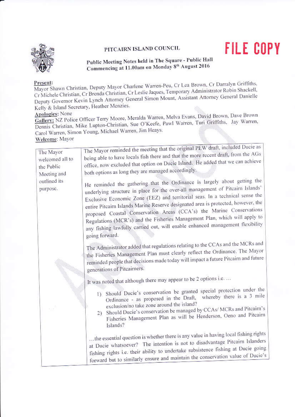## PITCAIRN ISLAND COUNCIL



## Public Meeting Notes held in The Square - Public Hall Commencing at 11.00am on Monday 8th August 2016

**FILE COPY** 

## Present:

Mayor Shawn Christian, Deputy Mayor Charlene Warren-Peu, Cr Lea Brown, Cr Darralyn Griffiths, Cr Michele Christian, Cr Brenda Christian, Cr Leslie Jaques, Temporary Administrator Robin Shackell, Deputy Governor Kevin Lynch Attorney General Simon Mount, Assistant Attorney General Danielle Kelly & Island Secretary, Heather Menzies.

**Apologies:** None

Gallery: NZ Police Officer Terry Moore, Meralda Warren, Melva Evans, David Brown, Dave Brown Dennis Christian, Mike Lupton-Christian, Sue O'Keefe, Pawl Warren, Turi Griffiths, Jay Warren, Carol Warren, Simon Young, Michael Warren, Jim Heays.

Welcome: Mayor

| The Mayor<br>welcomed all to<br>the Public<br>Meeting and<br>outlined its<br>purpose. | The Mayor reminded the meeting that the original PEW draft, included Ducle as<br>being able to have locals fish there and that the more recent draft, from the AGs<br>office, now excluded that option on Ducie Island. He added that we can achieve<br>both options as long they are managed accordingly.<br>He reminded the gathering that the Ordinance is largely about getting the                                                                                                                      |
|---------------------------------------------------------------------------------------|--------------------------------------------------------------------------------------------------------------------------------------------------------------------------------------------------------------------------------------------------------------------------------------------------------------------------------------------------------------------------------------------------------------------------------------------------------------------------------------------------------------|
|                                                                                       | underlying structure in place for the over-all management of Pitcairn Islands'<br>Exclusive Economic Zone (EEZ) and territorial seas. In a technical sense the<br>entire Pitcairn Islands Marine Reserve designated area is protected, however, the<br>proposed Coastal Conservation Areas (CCA's) the Marine Conservations<br>Regulations (MCR's) and the Fisheries Management Plan, which will apply to<br>any fishing lawfully carried out, will enable enhanced management flexibility<br>going forward. |
|                                                                                       | The Administrator added that regulations relating to the CCAs and the MCRs and<br>the Fisheries Management Plan must clearly reflect the Ordinance. The Mayor<br>reminded people that decisions made today will impact a future Pitcairn and future<br>generations of Pitcairners.                                                                                                                                                                                                                           |
|                                                                                       | It was noted that although there may appear to be 2 options i.e.<br>1) Should Ducie's conservation be granted special protection under the<br>Ordinance - as proposed in the Draft, whereby there is a 3 mile<br>exclusion/no take zone around the island?<br>2) Should Ducie's conservation be managed by CCAs/ MCRs and Pitcairn's<br>Fisheries Management Plan as will be Henderson, Oeno and Pitcairn<br>Islands?                                                                                        |
|                                                                                       | the essential question is whether there is any value in having local fishing rights<br>at Ducie whatsoever? The intention is not to disadvantage Pitcairn Islanders<br>fishing rights i.e. their ability to undertake subsistence fishing at Ducie going<br>forward but to similarly ensure and maintain the conservation value of Ducie's                                                                                                                                                                   |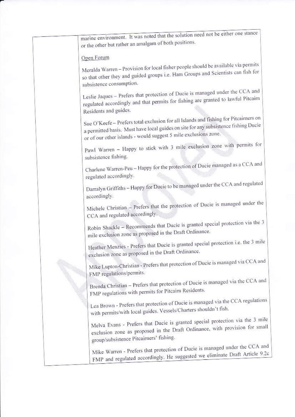marine environment. It was noted that the solution need not be either one stance or the other but rather an amalgam of both positions. Open Forum Meralda Warren - Provision for local fisher people should be available via permits so that other they and guided groups i.e. Ham Groups and Scientists can fish for subsistence consumption. Leslie Jaques - Prefers that protection of Ducie is managed under the CCA and regulated accordingly and that permits for fishing are granted to lawful Pitcairn Residents and guides. Sue O'Keefe - Prefers total exclusion for all Islands and fishing for Pitcairners on a permitted basis. Must have local guides on site for any subsistence fishing Ducie or of our other islands - would suggest 5 mile exclusions zone. Pawl Warren - Happy to stick with 3 mile exclusion zone with permits for subsistence fishing. Charlene Warren-Peu - Happy for the protection of Ducie managed as a CCA and regulated accordingly. Darralyn Griffiths - Happy for Ducie to be managed under the CCA and regulated accordingly. Michele Christian - Prefers that the protection of Ducie is managed under the CCA and regulated accordingly. Robin Shackle - Recommends that Ducie is granted special protection via the 3 mile exclusion zone as proposed in the Draft Ordinance. Heather Menzies - Prefers that Ducie is granted special protection i.e. the 3 mile exclusion zone as proposed in the Draft Ordinance. Mike Lupton-Christian - Prefers that protection of Ducie is managed via CCA and FMP regulations/permits. Brenda Christian - Prefers that protection of Ducie is managed via the CCA and FMP regulations with permits for Pitcairn Residents. Lea Brown - Prefers that protection of Ducie is managed via the CCA regulations with permits/with local guides. Vessels/Charters shouldn't fish. Melva Evans - Prefers that Ducie is granted special protection via the 3 mile exclusion zone as proposed in the Draft Ordinance, with provision for small group/subsistence Pitcairners' fishing. Mike Warren - Prefers that protection of Ducie is managed under the CCA and FMP and regulated accordingly. He suggested we eliminate Draft Article 9.2c